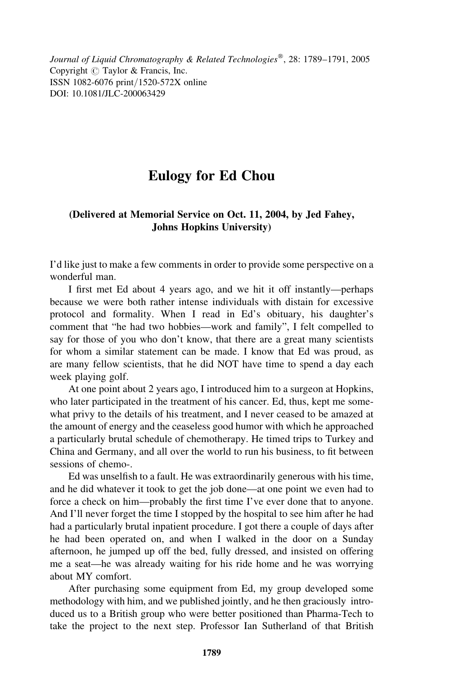Journal of Liquid Chromatography & Related Technologies<sup>®</sup>, 28: 1789–1791, 2005 Copyright  $\odot$  Taylor & Francis, Inc. ISSN 1082-6076 print/1520-572X online DOI: 10.1081/JLC-200063429

## Eulogy for Ed Chou

## (Delivered at Memorial Service on Oct. 11, 2004, by Jed Fahey, Johns Hopkins University)

I'd like just to make a few comments in order to provide some perspective on a wonderful man.

I first met Ed about 4 years ago, and we hit it off instantly—perhaps because we were both rather intense individuals with distain for excessive protocol and formality. When I read in Ed's obituary, his daughter's comment that "he had two hobbies—work and family", I felt compelled to say for those of you who don't know, that there are a great many scientists for whom a similar statement can be made. I know that Ed was proud, as are many fellow scientists, that he did NOT have time to spend a day each week playing golf.

At one point about 2 years ago, I introduced him to a surgeon at Hopkins, who later participated in the treatment of his cancer. Ed, thus, kept me somewhat privy to the details of his treatment, and I never ceased to be amazed at the amount of energy and the ceaseless good humor with which he approached a particularly brutal schedule of chemotherapy. He timed trips to Turkey and China and Germany, and all over the world to run his business, to fit between sessions of chemo-.

Ed was unselfish to a fault. He was extraordinarily generous with his time, and he did whatever it took to get the job done—at one point we even had to force a check on him—probably the first time I've ever done that to anyone. And I'll never forget the time I stopped by the hospital to see him after he had had a particularly brutal inpatient procedure. I got there a couple of days after he had been operated on, and when I walked in the door on a Sunday afternoon, he jumped up off the bed, fully dressed, and insisted on offering me a seat—he was already waiting for his ride home and he was worrying about MY comfort.

After purchasing some equipment from Ed, my group developed some methodology with him, and we published jointly, and he then graciously introduced us to a British group who were better positioned than Pharma-Tech to take the project to the next step. Professor Ian Sutherland of that British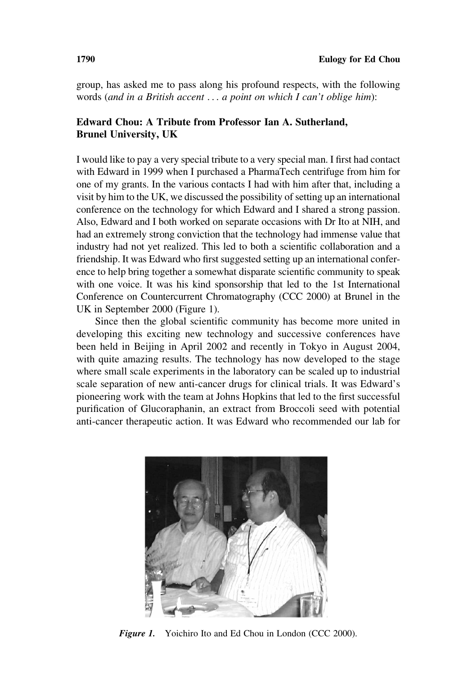group, has asked me to pass along his profound respects, with the following words (and in a British accent ... a point on which I can't oblige him):

## Edward Chou: A Tribute from Professor Ian A. Sutherland, Brunel University, UK

I would like to pay a very special tribute to a very special man. I first had contact with Edward in 1999 when I purchased a PharmaTech centrifuge from him for one of my grants. In the various contacts I had with him after that, including a visit by him to the UK, we discussed the possibility of setting up an international conference on the technology for which Edward and I shared a strong passion. Also, Edward and I both worked on separate occasions with Dr Ito at NIH, and had an extremely strong conviction that the technology had immense value that industry had not yet realized. This led to both a scientific collaboration and a friendship. It was Edward who first suggested setting up an international conference to help bring together a somewhat disparate scientific community to speak with one voice. It was his kind sponsorship that led to the 1st International Conference on Countercurrent Chromatography (CCC 2000) at Brunel in the UK in September 2000 (Figure 1).

Since then the global scientific community has become more united in developing this exciting new technology and successive conferences have been held in Beijing in April 2002 and recently in Tokyo in August 2004, with quite amazing results. The technology has now developed to the stage where small scale experiments in the laboratory can be scaled up to industrial scale separation of new anti-cancer drugs for clinical trials. It was Edward's pioneering work with the team at Johns Hopkins that led to the first successful purification of Glucoraphanin, an extract from Broccoli seed with potential anti-cancer therapeutic action. It was Edward who recommended our lab for



**Figure 1.** Yoichiro Ito and Ed Chou in London (CCC 2000).